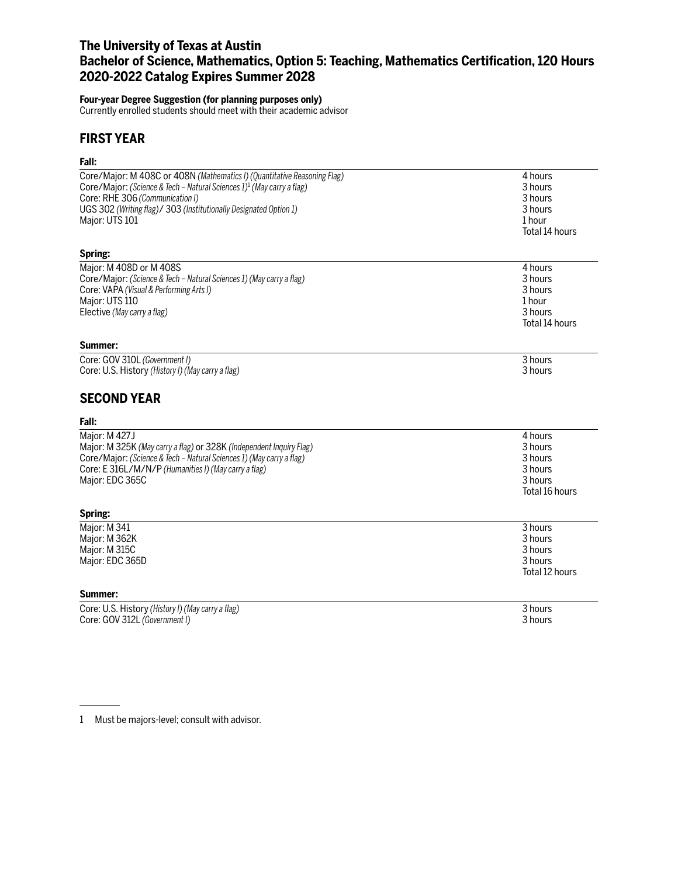# **The University of Texas at Austin Bachelor of Science, Mathematics, Option 5: Teaching, Mathematics Certification, 120 Hours 2020-2022 Catalog Expires Summer 2028**

#### **Four-year Degree Suggestion (for planning purposes only)**

Currently enrolled students should meet with their academic advisor

## **FIRST YEAR**

## **Fall:**

| ган.                                                                                                                                                                                                                                                                                               |                                                                       |
|----------------------------------------------------------------------------------------------------------------------------------------------------------------------------------------------------------------------------------------------------------------------------------------------------|-----------------------------------------------------------------------|
| Core/Major: M 408C or 408N (Mathematics I) (Quantitative Reasoning Flag)<br>Core/Major: (Science & Tech - Natural Sciences 1) <sup>1</sup> (May carry a flag)<br>Core: RHE 306 (Communication I)<br>UGS 302 (Writing flag)/ 303 (Institutionally Designated Option 1)<br>Major: UTS 101<br>Spring: | 4 hours<br>3 hours<br>3 hours<br>3 hours<br>1 hour<br>Total 14 hours  |
| Major: M 408D or M 408S<br>Core/Major: (Science & Tech - Natural Sciences 1) (May carry a flag)<br>Core: VAPA (Visual & Performing Arts I)<br>Major: UTS 110<br>Elective (May carry a flag)<br>Summer:                                                                                             | 4 hours<br>3 hours<br>3 hours<br>1 hour<br>3 hours<br>Total 14 hours  |
| Core: GOV 310L (Government I)<br>Core: U.S. History (History I) (May carry a flag)<br><b>SECOND YEAR</b>                                                                                                                                                                                           | 3 hours<br>3 hours                                                    |
| Fall:                                                                                                                                                                                                                                                                                              |                                                                       |
| Major: M 427J<br>Major: M 325K (May carry a flag) or 328K (Independent Inquiry Flag)<br>Core/Major: (Science & Tech - Natural Sciences 1) (May carry a flag)<br>Core: E 316L/M/N/P (Humanities I) (May carry a flag)<br>Major: EDC 365C                                                            | 4 hours<br>3 hours<br>3 hours<br>3 hours<br>3 hours<br>Total 16 hours |
| Spring:                                                                                                                                                                                                                                                                                            |                                                                       |
| Major: M 341<br>Major: M 362K<br>Major: M 315C<br>Major: EDC 365D                                                                                                                                                                                                                                  | 3 hours<br>3 hours<br>3 hours<br>3 hours<br>Total 12 hours            |
| Summer:                                                                                                                                                                                                                                                                                            |                                                                       |
| Core: U.S. History (History I) (May carry a flag)<br>Core: GOV 312L (Government I)                                                                                                                                                                                                                 | 3 hours<br>3 hours                                                    |

<sup>1</sup> Must be majors-level; consult with advisor.